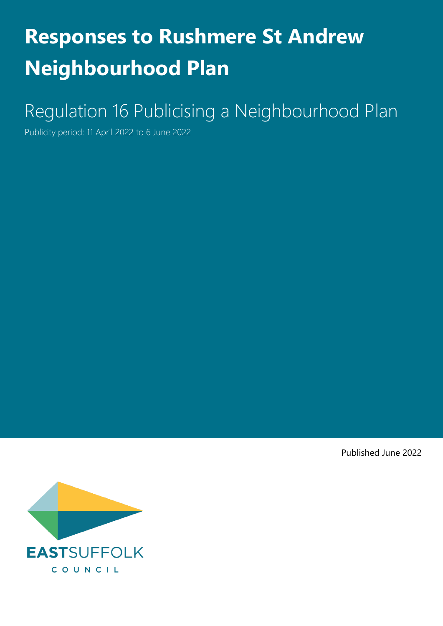# **Responses to Rushmere St Andrew Neighbourhood Plan**

# Regulation 16 Publicising a Neighbourhood Plan

Publicity period: 11 April 2022 to 6 June 2022

Published June 2022

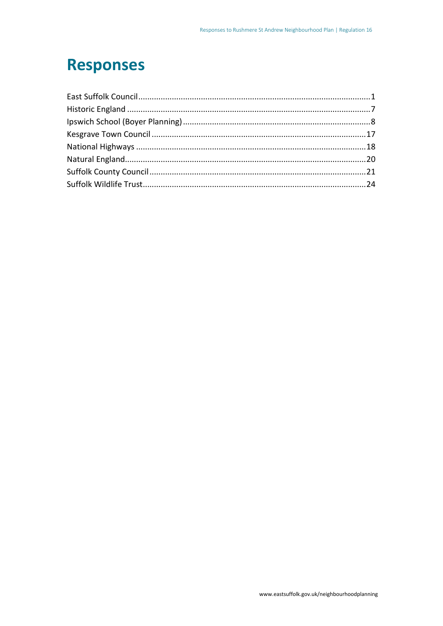### **Responses**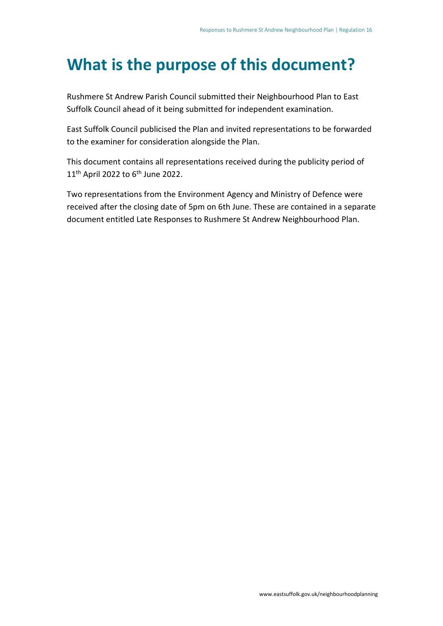### **What is the purpose of this document?**

Rushmere St Andrew Parish Council submitted their Neighbourhood Plan to East Suffolk Council ahead of it being submitted for independent examination.

East Suffolk Council publicised the Plan and invited representations to be forwarded to the examiner for consideration alongside the Plan.

This document contains all representations received during the publicity period of 11<sup>th</sup> April 2022 to 6<sup>th</sup> June 2022.

Two representations from the Environment Agency and Ministry of Defence were received after the closing date of 5pm on 6th June. These are contained in a separate document entitled Late Responses to Rushmere St Andrew Neighbourhood Plan.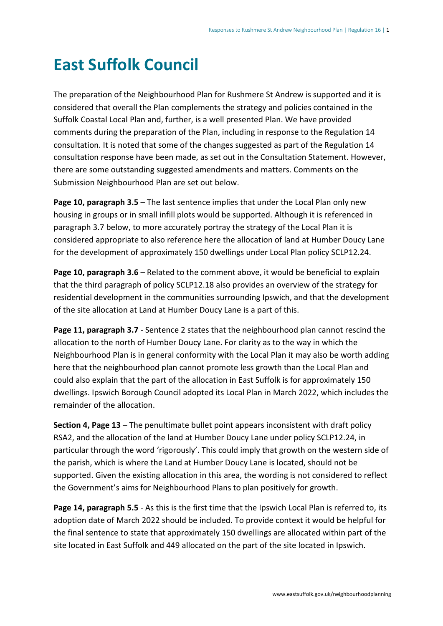# <span id="page-3-0"></span>**East Suffolk Council**

The preparation of the Neighbourhood Plan for Rushmere St Andrew is supported and it is considered that overall the Plan complements the strategy and policies contained in the Suffolk Coastal Local Plan and, further, is a well presented Plan. We have provided comments during the preparation of the Plan, including in response to the Regulation 14 consultation. It is noted that some of the changes suggested as part of the Regulation 14 consultation response have been made, as set out in the Consultation Statement. However, there are some outstanding suggested amendments and matters. Comments on the Submission Neighbourhood Plan are set out below.

**Page 10, paragraph 3.5** – The last sentence implies that under the Local Plan only new housing in groups or in small infill plots would be supported. Although it is referenced in paragraph 3.7 below, to more accurately portray the strategy of the Local Plan it is considered appropriate to also reference here the allocation of land at Humber Doucy Lane for the development of approximately 150 dwellings under Local Plan policy SCLP12.24.

**Page 10, paragraph 3.6** – Related to the comment above, it would be beneficial to explain that the third paragraph of policy SCLP12.18 also provides an overview of the strategy for residential development in the communities surrounding Ipswich, and that the development of the site allocation at Land at Humber Doucy Lane is a part of this.

**Page 11, paragraph 3.7** - Sentence 2 states that the neighbourhood plan cannot rescind the allocation to the north of Humber Doucy Lane. For clarity as to the way in which the Neighbourhood Plan is in general conformity with the Local Plan it may also be worth adding here that the neighbourhood plan cannot promote less growth than the Local Plan and could also explain that the part of the allocation in East Suffolk is for approximately 150 dwellings. Ipswich Borough Council adopted its Local Plan in March 2022, which includes the remainder of the allocation.

**Section 4, Page 13** – The penultimate bullet point appears inconsistent with draft policy RSA2, and the allocation of the land at Humber Doucy Lane under policy SCLP12.24, in particular through the word 'rigorously'. This could imply that growth on the western side of the parish, which is where the Land at Humber Doucy Lane is located, should not be supported. Given the existing allocation in this area, the wording is not considered to reflect the Government's aims for Neighbourhood Plans to plan positively for growth.

**Page 14, paragraph 5.5** - As this is the first time that the Ipswich Local Plan is referred to, its adoption date of March 2022 should be included. To provide context it would be helpful for the final sentence to state that approximately 150 dwellings are allocated within part of the site located in East Suffolk and 449 allocated on the part of the site located in Ipswich.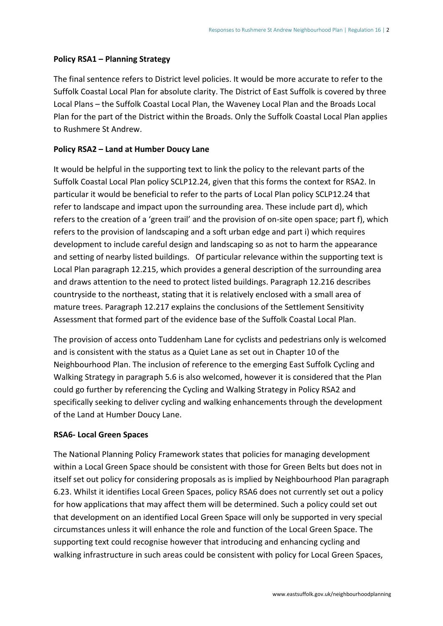#### **Policy RSA1 – Planning Strategy**

The final sentence refers to District level policies. It would be more accurate to refer to the Suffolk Coastal Local Plan for absolute clarity. The District of East Suffolk is covered by three Local Plans – the Suffolk Coastal Local Plan, the Waveney Local Plan and the Broads Local Plan for the part of the District within the Broads. Only the Suffolk Coastal Local Plan applies to Rushmere St Andrew.

#### **Policy RSA2 – Land at Humber Doucy Lane**

It would be helpful in the supporting text to link the policy to the relevant parts of the Suffolk Coastal Local Plan policy SCLP12.24, given that this forms the context for RSA2. In particular it would be beneficial to refer to the parts of Local Plan policy SCLP12.24 that refer to landscape and impact upon the surrounding area. These include part d), which refers to the creation of a 'green trail' and the provision of on-site open space; part f), which refers to the provision of landscaping and a soft urban edge and part i) which requires development to include careful design and landscaping so as not to harm the appearance and setting of nearby listed buildings. Of particular relevance within the supporting text is Local Plan paragraph 12.215, which provides a general description of the surrounding area and draws attention to the need to protect listed buildings. Paragraph 12.216 describes countryside to the northeast, stating that it is relatively enclosed with a small area of mature trees. Paragraph 12.217 explains the conclusions of the Settlement Sensitivity Assessment that formed part of the evidence base of the Suffolk Coastal Local Plan.

The provision of access onto Tuddenham Lane for cyclists and pedestrians only is welcomed and is consistent with the status as a Quiet Lane as set out in Chapter 10 of the Neighbourhood Plan. The inclusion of reference to the emerging East Suffolk Cycling and Walking Strategy in paragraph 5.6 is also welcomed, however it is considered that the Plan could go further by referencing the Cycling and Walking Strategy in Policy RSA2 and specifically seeking to deliver cycling and walking enhancements through the development of the Land at Humber Doucy Lane.

#### **RSA6- Local Green Spaces**

The National Planning Policy Framework states that policies for managing development within a Local Green Space should be consistent with those for Green Belts but does not in itself set out policy for considering proposals as is implied by Neighbourhood Plan paragraph 6.23. Whilst it identifies Local Green Spaces, policy RSA6 does not currently set out a policy for how applications that may affect them will be determined. Such a policy could set out that development on an identified Local Green Space will only be supported in very special circumstances unless it will enhance the role and function of the Local Green Space. The supporting text could recognise however that introducing and enhancing cycling and walking infrastructure in such areas could be consistent with policy for Local Green Spaces,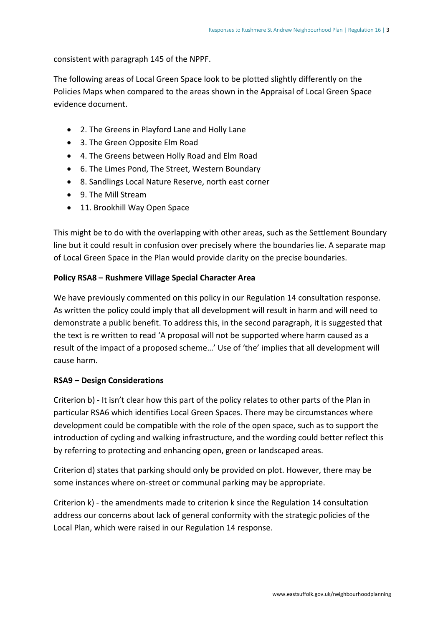consistent with paragraph 145 of the NPPF.

The following areas of Local Green Space look to be plotted slightly differently on the Policies Maps when compared to the areas shown in the Appraisal of Local Green Space evidence document.

- 2. The Greens in Playford Lane and Holly Lane
- 3. The Green Opposite Elm Road
- 4. The Greens between Holly Road and Elm Road
- 6. The Limes Pond, The Street, Western Boundary
- 8. Sandlings Local Nature Reserve, north east corner
- 9. The Mill Stream
- 11. Brookhill Way Open Space

This might be to do with the overlapping with other areas, such as the Settlement Boundary line but it could result in confusion over precisely where the boundaries lie. A separate map of Local Green Space in the Plan would provide clarity on the precise boundaries.

#### **Policy RSA8 – Rushmere Village Special Character Area**

We have previously commented on this policy in our Regulation 14 consultation response. As written the policy could imply that all development will result in harm and will need to demonstrate a public benefit. To address this, in the second paragraph, it is suggested that the text is re written to read 'A proposal will not be supported where harm caused as a result of the impact of a proposed scheme…' Use of 'the' implies that all development will cause harm.

#### **RSA9 – Design Considerations**

Criterion b) - It isn't clear how this part of the policy relates to other parts of the Plan in particular RSA6 which identifies Local Green Spaces. There may be circumstances where development could be compatible with the role of the open space, such as to support the introduction of cycling and walking infrastructure, and the wording could better reflect this by referring to protecting and enhancing open, green or landscaped areas.

Criterion d) states that parking should only be provided on plot. However, there may be some instances where on-street or communal parking may be appropriate.

Criterion k) - the amendments made to criterion k since the Regulation 14 consultation address our concerns about lack of general conformity with the strategic policies of the Local Plan, which were raised in our Regulation 14 response.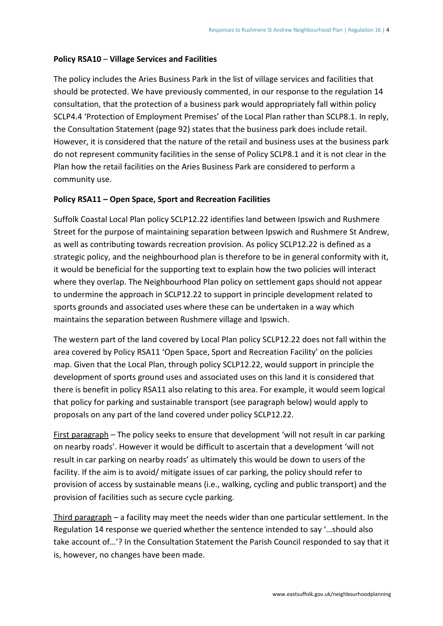#### **Policy RSA10** – **Village Services and Facilities**

The policy includes the Aries Business Park in the list of village services and facilities that should be protected. We have previously commented, in our response to the regulation 14 consultation, that the protection of a business park would appropriately fall within policy SCLP4.4 'Protection of Employment Premises' of the Local Plan rather than SCLP8.1. In reply, the Consultation Statement (page 92) states that the business park does include retail. However, it is considered that the nature of the retail and business uses at the business park do not represent community facilities in the sense of Policy SCLP8.1 and it is not clear in the Plan how the retail facilities on the Aries Business Park are considered to perform a community use.

#### **Policy RSA11 – Open Space, Sport and Recreation Facilities**

Suffolk Coastal Local Plan policy SCLP12.22 identifies land between Ipswich and Rushmere Street for the purpose of maintaining separation between Ipswich and Rushmere St Andrew, as well as contributing towards recreation provision. As policy SCLP12.22 is defined as a strategic policy, and the neighbourhood plan is therefore to be in general conformity with it, it would be beneficial for the supporting text to explain how the two policies will interact where they overlap. The Neighbourhood Plan policy on settlement gaps should not appear to undermine the approach in SCLP12.22 to support in principle development related to sports grounds and associated uses where these can be undertaken in a way which maintains the separation between Rushmere village and Ipswich.

The western part of the land covered by Local Plan policy SCLP12.22 does not fall within the area covered by Policy RSA11 'Open Space, Sport and Recreation Facility' on the policies map. Given that the Local Plan, through policy SCLP12.22, would support in principle the development of sports ground uses and associated uses on this land it is considered that there is benefit in policy RSA11 also relating to this area. For example, it would seem logical that policy for parking and sustainable transport (see paragraph below) would apply to proposals on any part of the land covered under policy SCLP12.22.

First paragraph – The policy seeks to ensure that development 'will not result in car parking on nearby roads'. However it would be difficult to ascertain that a development 'will not result in car parking on nearby roads' as ultimately this would be down to users of the facility. If the aim is to avoid/ mitigate issues of car parking, the policy should refer to provision of access by sustainable means (i.e., walking, cycling and public transport) and the provision of facilities such as secure cycle parking.

Third paragraph – a facility may meet the needs wider than one particular settlement. In the Regulation 14 response we queried whether the sentence intended to say '…should also take account of…'? In the Consultation Statement the Parish Council responded to say that it is, however, no changes have been made.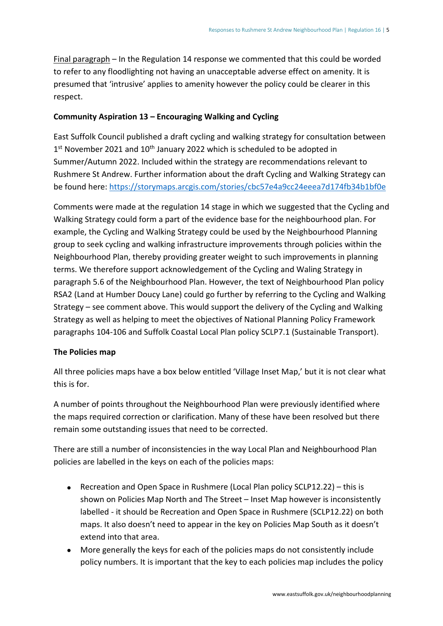Final paragraph – In the Regulation 14 response we commented that this could be worded to refer to any floodlighting not having an unacceptable adverse effect on amenity. It is presumed that 'intrusive' applies to amenity however the policy could be clearer in this respect.

#### **Community Aspiration 13 – Encouraging Walking and Cycling**

East Suffolk Council published a draft cycling and walking strategy for consultation between  $1<sup>st</sup>$  November 2021 and  $10<sup>th</sup>$  January 2022 which is scheduled to be adopted in Summer/Autumn 2022. Included within the strategy are recommendations relevant to Rushmere St Andrew. Further information about the draft Cycling and Walking Strategy can be found here:<https://storymaps.arcgis.com/stories/cbc57e4a9cc24eeea7d174fb34b1bf0e>

Comments were made at the regulation 14 stage in which we suggested that the Cycling and Walking Strategy could form a part of the evidence base for the neighbourhood plan. For example, the Cycling and Walking Strategy could be used by the Neighbourhood Planning group to seek cycling and walking infrastructure improvements through policies within the Neighbourhood Plan, thereby providing greater weight to such improvements in planning terms. We therefore support acknowledgement of the Cycling and Waling Strategy in paragraph 5.6 of the Neighbourhood Plan. However, the text of Neighbourhood Plan policy RSA2 (Land at Humber Doucy Lane) could go further by referring to the Cycling and Walking Strategy – see comment above. This would support the delivery of the Cycling and Walking Strategy as well as helping to meet the objectives of National Planning Policy Framework paragraphs 104-106 and Suffolk Coastal Local Plan policy SCLP7.1 (Sustainable Transport).

#### **The Policies map**

All three policies maps have a box below entitled 'Village Inset Map,' but it is not clear what this is for.

A number of points throughout the Neighbourhood Plan were previously identified where the maps required correction or clarification. Many of these have been resolved but there remain some outstanding issues that need to be corrected.

There are still a number of inconsistencies in the way Local Plan and Neighbourhood Plan policies are labelled in the keys on each of the policies maps:

- Recreation and Open Space in Rushmere (Local Plan policy SCLP12.22) this is shown on Policies Map North and The Street – Inset Map however is inconsistently labelled - it should be Recreation and Open Space in Rushmere (SCLP12.22) on both maps. It also doesn't need to appear in the key on Policies Map South as it doesn't extend into that area.
- More generally the keys for each of the policies maps do not consistently include policy numbers. It is important that the key to each policies map includes the policy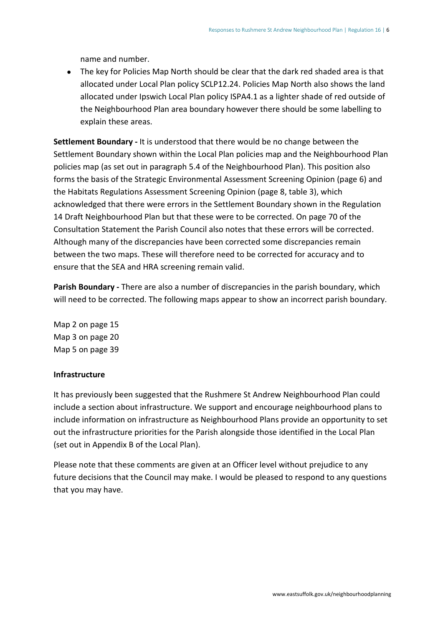name and number.

• The key for Policies Map North should be clear that the dark red shaded area is that allocated under Local Plan policy SCLP12.24. Policies Map North also shows the land allocated under Ipswich Local Plan policy ISPA4.1 as a lighter shade of red outside of the Neighbourhood Plan area boundary however there should be some labelling to explain these areas.

**Settlement Boundary -** It is understood that there would be no change between the Settlement Boundary shown within the Local Plan policies map and the Neighbourhood Plan policies map (as set out in paragraph 5.4 of the Neighbourhood Plan). This position also forms the basis of the Strategic Environmental Assessment Screening Opinion (page 6) and the Habitats Regulations Assessment Screening Opinion (page 8, table 3), which acknowledged that there were errors in the Settlement Boundary shown in the Regulation 14 Draft Neighbourhood Plan but that these were to be corrected. On page 70 of the Consultation Statement the Parish Council also notes that these errors will be corrected. Although many of the discrepancies have been corrected some discrepancies remain between the two maps. These will therefore need to be corrected for accuracy and to ensure that the SEA and HRA screening remain valid.

**Parish Boundary -** There are also a number of discrepancies in the parish boundary, which will need to be corrected. The following maps appear to show an incorrect parish boundary.

Map 2 on page 15 Map 3 on page 20 Map 5 on page 39

#### **Infrastructure**

It has previously been suggested that the Rushmere St Andrew Neighbourhood Plan could include a section about infrastructure. We support and encourage neighbourhood plans to include information on infrastructure as Neighbourhood Plans provide an opportunity to set out the infrastructure priorities for the Parish alongside those identified in the Local Plan (set out in Appendix B of the Local Plan).

Please note that these comments are given at an Officer level without prejudice to any future decisions that the Council may make. I would be pleased to respond to any questions that you may have.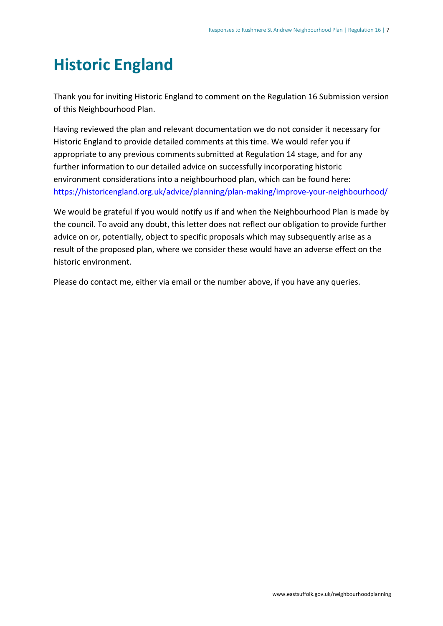### <span id="page-9-0"></span>**Historic England**

Thank you for inviting Historic England to comment on the Regulation 16 Submission version of this Neighbourhood Plan.

Having reviewed the plan and relevant documentation we do not consider it necessary for Historic England to provide detailed comments at this time. We would refer you if appropriate to any previous comments submitted at Regulation 14 stage, and for any further information to our detailed advice on successfully incorporating historic environment considerations into a neighbourhood plan, which can be found here: <https://historicengland.org.uk/advice/planning/plan-making/improve-your-neighbourhood/>

We would be grateful if you would notify us if and when the Neighbourhood Plan is made by the council. To avoid any doubt, this letter does not reflect our obligation to provide further advice on or, potentially, object to specific proposals which may subsequently arise as a result of the proposed plan, where we consider these would have an adverse effect on the historic environment.

Please do contact me, either via email or the number above, if you have any queries.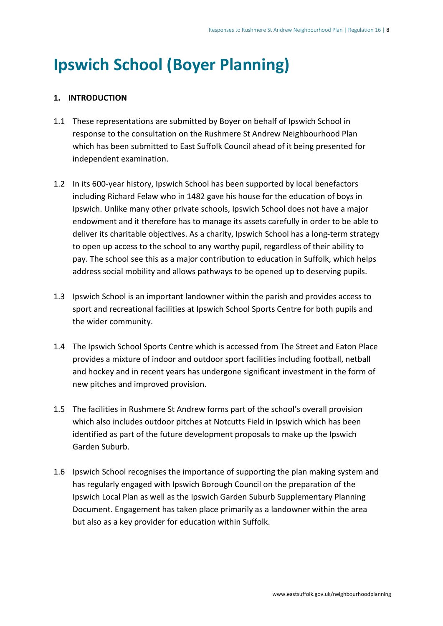## <span id="page-10-0"></span>**Ipswich School (Boyer Planning)**

#### **1. INTRODUCTION**

- 1.1 These representations are submitted by Boyer on behalf of Ipswich School in response to the consultation on the Rushmere St Andrew Neighbourhood Plan which has been submitted to East Suffolk Council ahead of it being presented for independent examination.
- 1.2 In its 600-year history, Ipswich School has been supported by local benefactors including Richard Felaw who in 1482 gave his house for the education of boys in Ipswich. Unlike many other private schools, Ipswich School does not have a major endowment and it therefore has to manage its assets carefully in order to be able to deliver its charitable objectives. As a charity, Ipswich School has a long-term strategy to open up access to the school to any worthy pupil, regardless of their ability to pay. The school see this as a major contribution to education in Suffolk, which helps address social mobility and allows pathways to be opened up to deserving pupils.
- 1.3 Ipswich School is an important landowner within the parish and provides access to sport and recreational facilities at Ipswich School Sports Centre for both pupils and the wider community.
- 1.4 The Ipswich School Sports Centre which is accessed from The Street and Eaton Place provides a mixture of indoor and outdoor sport facilities including football, netball and hockey and in recent years has undergone significant investment in the form of new pitches and improved provision.
- 1.5 The facilities in Rushmere St Andrew forms part of the school's overall provision which also includes outdoor pitches at Notcutts Field in Ipswich which has been identified as part of the future development proposals to make up the Ipswich Garden Suburb.
- 1.6 Ipswich School recognises the importance of supporting the plan making system and has regularly engaged with Ipswich Borough Council on the preparation of the Ipswich Local Plan as well as the Ipswich Garden Suburb Supplementary Planning Document. Engagement has taken place primarily as a landowner within the area but also as a key provider for education within Suffolk.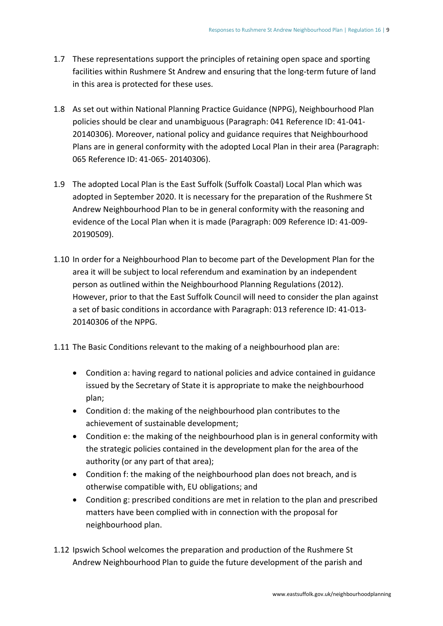- 1.7 These representations support the principles of retaining open space and sporting facilities within Rushmere St Andrew and ensuring that the long-term future of land in this area is protected for these uses.
- 1.8 As set out within National Planning Practice Guidance (NPPG), Neighbourhood Plan policies should be clear and unambiguous (Paragraph: 041 Reference ID: 41-041- 20140306). Moreover, national policy and guidance requires that Neighbourhood Plans are in general conformity with the adopted Local Plan in their area (Paragraph: 065 Reference ID: 41-065- 20140306).
- 1.9 The adopted Local Plan is the East Suffolk (Suffolk Coastal) Local Plan which was adopted in September 2020. It is necessary for the preparation of the Rushmere St Andrew Neighbourhood Plan to be in general conformity with the reasoning and evidence of the Local Plan when it is made (Paragraph: 009 Reference ID: 41-009- 20190509).
- 1.10 In order for a Neighbourhood Plan to become part of the Development Plan for the area it will be subject to local referendum and examination by an independent person as outlined within the Neighbourhood Planning Regulations (2012). However, prior to that the East Suffolk Council will need to consider the plan against a set of basic conditions in accordance with Paragraph: 013 reference ID: 41-013- 20140306 of the NPPG.
- 1.11 The Basic Conditions relevant to the making of a neighbourhood plan are:
	- Condition a: having regard to national policies and advice contained in guidance issued by the Secretary of State it is appropriate to make the neighbourhood plan;
	- Condition d: the making of the neighbourhood plan contributes to the achievement of sustainable development;
	- Condition e: the making of the neighbourhood plan is in general conformity with the strategic policies contained in the development plan for the area of the authority (or any part of that area);
	- Condition f: the making of the neighbourhood plan does not breach, and is otherwise compatible with, EU obligations; and
	- Condition g: prescribed conditions are met in relation to the plan and prescribed matters have been complied with in connection with the proposal for neighbourhood plan.
- 1.12 Ipswich School welcomes the preparation and production of the Rushmere St Andrew Neighbourhood Plan to guide the future development of the parish and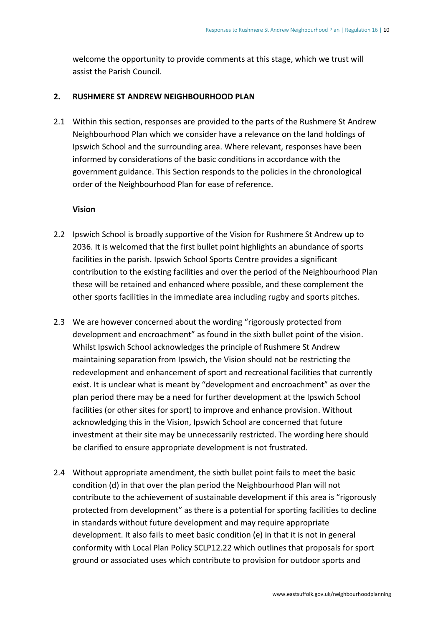welcome the opportunity to provide comments at this stage, which we trust will assist the Parish Council.

#### **2. RUSHMERE ST ANDREW NEIGHBOURHOOD PLAN**

2.1 Within this section, responses are provided to the parts of the Rushmere St Andrew Neighbourhood Plan which we consider have a relevance on the land holdings of Ipswich School and the surrounding area. Where relevant, responses have been informed by considerations of the basic conditions in accordance with the government guidance. This Section responds to the policies in the chronological order of the Neighbourhood Plan for ease of reference.

#### **Vision**

- 2.2 Ipswich School is broadly supportive of the Vision for Rushmere St Andrew up to 2036. It is welcomed that the first bullet point highlights an abundance of sports facilities in the parish. Ipswich School Sports Centre provides a significant contribution to the existing facilities and over the period of the Neighbourhood Plan these will be retained and enhanced where possible, and these complement the other sports facilities in the immediate area including rugby and sports pitches.
- 2.3 We are however concerned about the wording "rigorously protected from development and encroachment" as found in the sixth bullet point of the vision. Whilst Ipswich School acknowledges the principle of Rushmere St Andrew maintaining separation from Ipswich, the Vision should not be restricting the redevelopment and enhancement of sport and recreational facilities that currently exist. It is unclear what is meant by "development and encroachment" as over the plan period there may be a need for further development at the Ipswich School facilities (or other sites for sport) to improve and enhance provision. Without acknowledging this in the Vision, Ipswich School are concerned that future investment at their site may be unnecessarily restricted. The wording here should be clarified to ensure appropriate development is not frustrated.
- 2.4 Without appropriate amendment, the sixth bullet point fails to meet the basic condition (d) in that over the plan period the Neighbourhood Plan will not contribute to the achievement of sustainable development if this area is "rigorously protected from development" as there is a potential for sporting facilities to decline in standards without future development and may require appropriate development. It also fails to meet basic condition (e) in that it is not in general conformity with Local Plan Policy SCLP12.22 which outlines that proposals for sport ground or associated uses which contribute to provision for outdoor sports and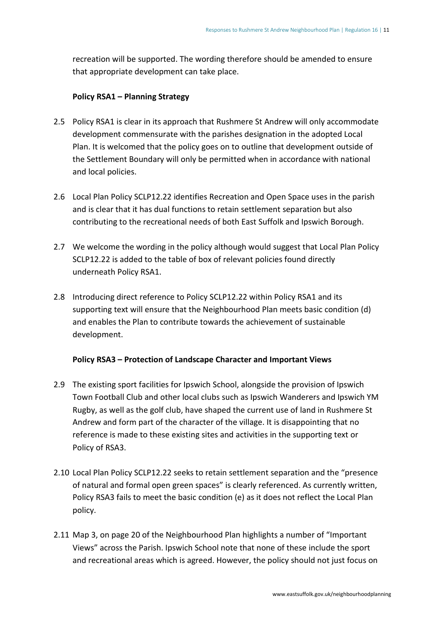recreation will be supported. The wording therefore should be amended to ensure that appropriate development can take place.

#### **Policy RSA1 – Planning Strategy**

- 2.5 Policy RSA1 is clear in its approach that Rushmere St Andrew will only accommodate development commensurate with the parishes designation in the adopted Local Plan. It is welcomed that the policy goes on to outline that development outside of the Settlement Boundary will only be permitted when in accordance with national and local policies.
- 2.6 Local Plan Policy SCLP12.22 identifies Recreation and Open Space uses in the parish and is clear that it has dual functions to retain settlement separation but also contributing to the recreational needs of both East Suffolk and Ipswich Borough.
- 2.7 We welcome the wording in the policy although would suggest that Local Plan Policy SCLP12.22 is added to the table of box of relevant policies found directly underneath Policy RSA1.
- 2.8 Introducing direct reference to Policy SCLP12.22 within Policy RSA1 and its supporting text will ensure that the Neighbourhood Plan meets basic condition (d) and enables the Plan to contribute towards the achievement of sustainable development.

#### **Policy RSA3 – Protection of Landscape Character and Important Views**

- 2.9 The existing sport facilities for Ipswich School, alongside the provision of Ipswich Town Football Club and other local clubs such as Ipswich Wanderers and Ipswich YM Rugby, as well as the golf club, have shaped the current use of land in Rushmere St Andrew and form part of the character of the village. It is disappointing that no reference is made to these existing sites and activities in the supporting text or Policy of RSA3.
- 2.10 Local Plan Policy SCLP12.22 seeks to retain settlement separation and the "presence of natural and formal open green spaces" is clearly referenced. As currently written, Policy RSA3 fails to meet the basic condition (e) as it does not reflect the Local Plan policy.
- 2.11 Map 3, on page 20 of the Neighbourhood Plan highlights a number of "Important Views" across the Parish. Ipswich School note that none of these include the sport and recreational areas which is agreed. However, the policy should not just focus on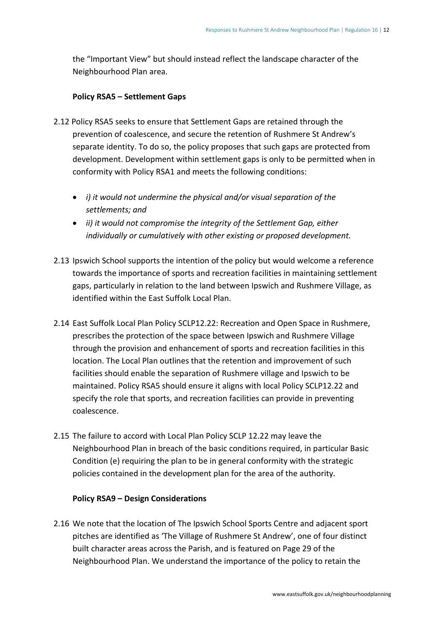the "Important View" but should instead reflect the landscape character of the Neighbourhood Plan area.

#### **Policy RSA5 – Settlement Gaps**

- 2.12 Policy RSA5 seeks to ensure that Settlement Gaps are retained through the prevention of coalescence, and secure the retention of Rushmere St Andrew's separate identity. To do so, the policy proposes that such gaps are protected from development. Development within settlement gaps is only to be permitted when in conformity with Policy RSA1 and meets the following conditions:
	- *i) it would not undermine the physical and/or visual separation of the settlements; and*
	- *ii) it would not compromise the integrity of the Settlement Gap, either individually or cumulatively with other existing or proposed development.*
- 2.13 Ipswich School supports the intention of the policy but would welcome a reference towards the importance of sports and recreation facilities in maintaining settlement gaps, particularly in relation to the land between Ipswich and Rushmere Village, as identified within the East Suffolk Local Plan.
- 2.14 East Suffolk Local Plan Policy SCLP12.22: Recreation and Open Space in Rushmere, prescribes the protection of the space between Ipswich and Rushmere Village through the provision and enhancement of sports and recreation facilities in this location. The Local Plan outlines that the retention and improvement of such facilities should enable the separation of Rushmere village and Ipswich to be maintained. Policy RSA5 should ensure it aligns with local Policy SCLP12.22 and specify the role that sports, and recreation facilities can provide in preventing coalescence.
- 2.15 The failure to accord with Local Plan Policy SCLP 12.22 may leave the Neighbourhood Plan in breach of the basic conditions required, in particular Basic Condition (e) requiring the plan to be in general conformity with the strategic policies contained in the development plan for the area of the authority.

#### **Policy RSA9 – Design Considerations**

2.16 We note that the location of The Ipswich School Sports Centre and adjacent sport pitches are identified as 'The Village of Rushmere St Andrew', one of four distinct built character areas across the Parish, and is featured on Page 29 of the Neighbourhood Plan. We understand the importance of the policy to retain the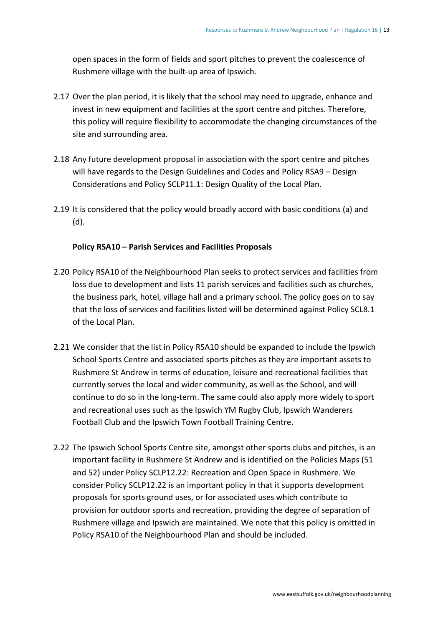open spaces in the form of fields and sport pitches to prevent the coalescence of Rushmere village with the built-up area of Ipswich.

- 2.17 Over the plan period, it is likely that the school may need to upgrade, enhance and invest in new equipment and facilities at the sport centre and pitches. Therefore, this policy will require flexibility to accommodate the changing circumstances of the site and surrounding area.
- 2.18 Any future development proposal in association with the sport centre and pitches will have regards to the Design Guidelines and Codes and Policy RSA9 – Design Considerations and Policy SCLP11.1: Design Quality of the Local Plan.
- 2.19 It is considered that the policy would broadly accord with basic conditions (a) and (d).

#### **Policy RSA10 – Parish Services and Facilities Proposals**

- 2.20 Policy RSA10 of the Neighbourhood Plan seeks to protect services and facilities from loss due to development and lists 11 parish services and facilities such as churches, the business park, hotel, village hall and a primary school. The policy goes on to say that the loss of services and facilities listed will be determined against Policy SCL8.1 of the Local Plan.
- 2.21 We consider that the list in Policy RSA10 should be expanded to include the Ipswich School Sports Centre and associated sports pitches as they are important assets to Rushmere St Andrew in terms of education, leisure and recreational facilities that currently serves the local and wider community, as well as the School, and will continue to do so in the long-term. The same could also apply more widely to sport and recreational uses such as the Ipswich YM Rugby Club, Ipswich Wanderers Football Club and the Ipswich Town Football Training Centre.
- 2.22 The Ipswich School Sports Centre site, amongst other sports clubs and pitches, is an important facility in Rushmere St Andrew and is identified on the Policies Maps (51 and 52) under Policy SCLP12.22: Recreation and Open Space in Rushmere. We consider Policy SCLP12.22 is an important policy in that it supports development proposals for sports ground uses, or for associated uses which contribute to provision for outdoor sports and recreation, providing the degree of separation of Rushmere village and Ipswich are maintained. We note that this policy is omitted in Policy RSA10 of the Neighbourhood Plan and should be included.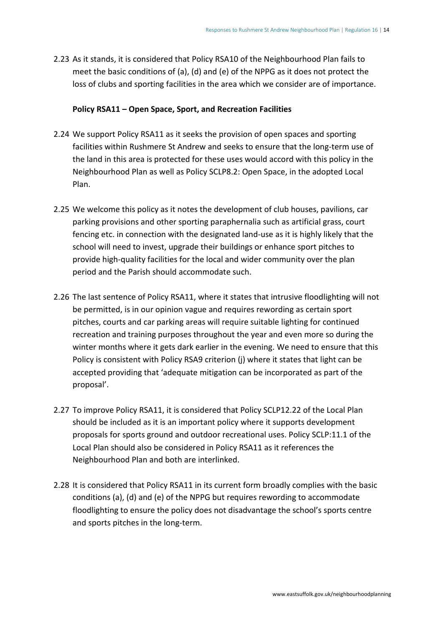2.23 As it stands, it is considered that Policy RSA10 of the Neighbourhood Plan fails to meet the basic conditions of (a), (d) and (e) of the NPPG as it does not protect the loss of clubs and sporting facilities in the area which we consider are of importance.

#### **Policy RSA11 – Open Space, Sport, and Recreation Facilities**

- 2.24 We support Policy RSA11 as it seeks the provision of open spaces and sporting facilities within Rushmere St Andrew and seeks to ensure that the long-term use of the land in this area is protected for these uses would accord with this policy in the Neighbourhood Plan as well as Policy SCLP8.2: Open Space, in the adopted Local Plan.
- 2.25 We welcome this policy as it notes the development of club houses, pavilions, car parking provisions and other sporting paraphernalia such as artificial grass, court fencing etc. in connection with the designated land-use as it is highly likely that the school will need to invest, upgrade their buildings or enhance sport pitches to provide high-quality facilities for the local and wider community over the plan period and the Parish should accommodate such.
- 2.26 The last sentence of Policy RSA11, where it states that intrusive floodlighting will not be permitted, is in our opinion vague and requires rewording as certain sport pitches, courts and car parking areas will require suitable lighting for continued recreation and training purposes throughout the year and even more so during the winter months where it gets dark earlier in the evening. We need to ensure that this Policy is consistent with Policy RSA9 criterion (j) where it states that light can be accepted providing that 'adequate mitigation can be incorporated as part of the proposal'.
- 2.27 To improve Policy RSA11, it is considered that Policy SCLP12.22 of the Local Plan should be included as it is an important policy where it supports development proposals for sports ground and outdoor recreational uses. Policy SCLP:11.1 of the Local Plan should also be considered in Policy RSA11 as it references the Neighbourhood Plan and both are interlinked.
- 2.28 It is considered that Policy RSA11 in its current form broadly complies with the basic conditions (a), (d) and (e) of the NPPG but requires rewording to accommodate floodlighting to ensure the policy does not disadvantage the school's sports centre and sports pitches in the long-term.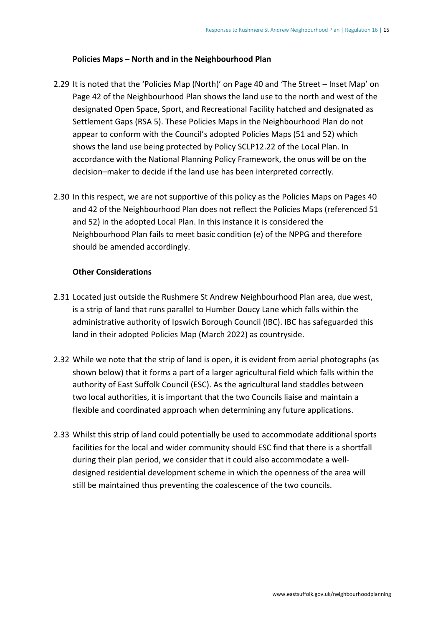#### **Policies Maps – North and in the Neighbourhood Plan**

- 2.29 It is noted that the 'Policies Map (North)' on Page 40 and 'The Street Inset Map' on Page 42 of the Neighbourhood Plan shows the land use to the north and west of the designated Open Space, Sport, and Recreational Facility hatched and designated as Settlement Gaps (RSA 5). These Policies Maps in the Neighbourhood Plan do not appear to conform with the Council's adopted Policies Maps (51 and 52) which shows the land use being protected by Policy SCLP12.22 of the Local Plan. In accordance with the National Planning Policy Framework, the onus will be on the decision–maker to decide if the land use has been interpreted correctly.
- 2.30 In this respect, we are not supportive of this policy as the Policies Maps on Pages 40 and 42 of the Neighbourhood Plan does not reflect the Policies Maps (referenced 51 and 52) in the adopted Local Plan. In this instance it is considered the Neighbourhood Plan fails to meet basic condition (e) of the NPPG and therefore should be amended accordingly.

#### **Other Considerations**

- 2.31 Located just outside the Rushmere St Andrew Neighbourhood Plan area, due west, is a strip of land that runs parallel to Humber Doucy Lane which falls within the administrative authority of Ipswich Borough Council (IBC). IBC has safeguarded this land in their adopted Policies Map (March 2022) as countryside.
- 2.32 While we note that the strip of land is open, it is evident from aerial photographs (as shown below) that it forms a part of a larger agricultural field which falls within the authority of East Suffolk Council (ESC). As the agricultural land staddles between two local authorities, it is important that the two Councils liaise and maintain a flexible and coordinated approach when determining any future applications.
- 2.33 Whilst this strip of land could potentially be used to accommodate additional sports facilities for the local and wider community should ESC find that there is a shortfall during their plan period, we consider that it could also accommodate a welldesigned residential development scheme in which the openness of the area will still be maintained thus preventing the coalescence of the two councils.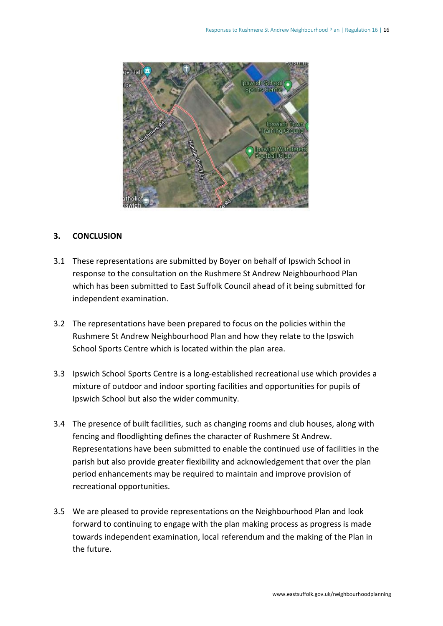

#### **3. CONCLUSION**

- 3.1 These representations are submitted by Boyer on behalf of Ipswich School in response to the consultation on the Rushmere St Andrew Neighbourhood Plan which has been submitted to East Suffolk Council ahead of it being submitted for independent examination.
- 3.2 The representations have been prepared to focus on the policies within the Rushmere St Andrew Neighbourhood Plan and how they relate to the Ipswich School Sports Centre which is located within the plan area.
- 3.3 Ipswich School Sports Centre is a long-established recreational use which provides a mixture of outdoor and indoor sporting facilities and opportunities for pupils of Ipswich School but also the wider community.
- 3.4 The presence of built facilities, such as changing rooms and club houses, along with fencing and floodlighting defines the character of Rushmere St Andrew. Representations have been submitted to enable the continued use of facilities in the parish but also provide greater flexibility and acknowledgement that over the plan period enhancements may be required to maintain and improve provision of recreational opportunities.
- 3.5 We are pleased to provide representations on the Neighbourhood Plan and look forward to continuing to engage with the plan making process as progress is made towards independent examination, local referendum and the making of the Plan in the future.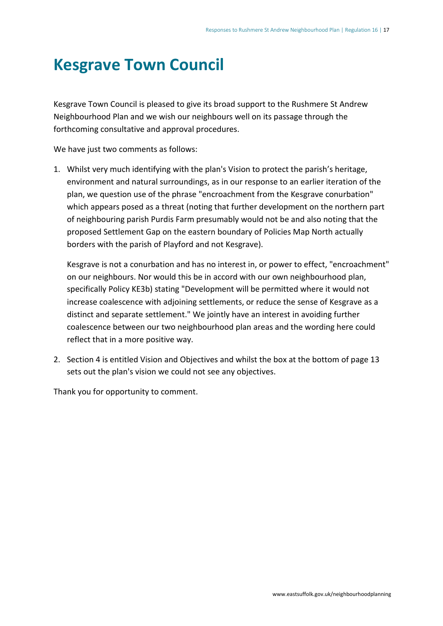### <span id="page-19-0"></span>**Kesgrave Town Council**

Kesgrave Town Council is pleased to give its broad support to the Rushmere St Andrew Neighbourhood Plan and we wish our neighbours well on its passage through the forthcoming consultative and approval procedures.

We have just two comments as follows:

1. Whilst very much identifying with the plan's Vision to protect the parish's heritage, environment and natural surroundings, as in our response to an earlier iteration of the plan, we question use of the phrase "encroachment from the Kesgrave conurbation" which appears posed as a threat (noting that further development on the northern part of neighbouring parish Purdis Farm presumably would not be and also noting that the proposed Settlement Gap on the eastern boundary of Policies Map North actually borders with the parish of Playford and not Kesgrave).

Kesgrave is not a conurbation and has no interest in, or power to effect, "encroachment" on our neighbours. Nor would this be in accord with our own neighbourhood plan, specifically Policy KE3b) stating "Development will be permitted where it would not increase coalescence with adjoining settlements, or reduce the sense of Kesgrave as a distinct and separate settlement." We jointly have an interest in avoiding further coalescence between our two neighbourhood plan areas and the wording here could reflect that in a more positive way.

2. Section 4 is entitled Vision and Objectives and whilst the box at the bottom of page 13 sets out the plan's vision we could not see any objectives.

Thank you for opportunity to comment.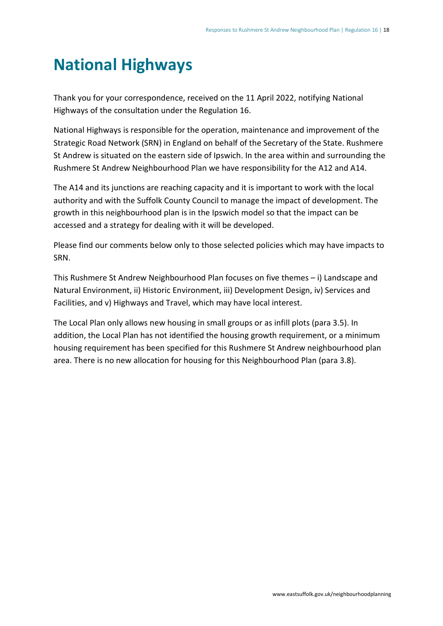## <span id="page-20-0"></span>**National Highways**

Thank you for your correspondence, received on the 11 April 2022, notifying National Highways of the consultation under the Regulation 16.

National Highways is responsible for the operation, maintenance and improvement of the Strategic Road Network (SRN) in England on behalf of the Secretary of the State. Rushmere St Andrew is situated on the eastern side of Ipswich. In the area within and surrounding the Rushmere St Andrew Neighbourhood Plan we have responsibility for the A12 and A14.

The A14 and its junctions are reaching capacity and it is important to work with the local authority and with the Suffolk County Council to manage the impact of development. The growth in this neighbourhood plan is in the Ipswich model so that the impact can be accessed and a strategy for dealing with it will be developed.

Please find our comments below only to those selected policies which may have impacts to SRN.

This Rushmere St Andrew Neighbourhood Plan focuses on five themes – i) Landscape and Natural Environment, ii) Historic Environment, iii) Development Design, iv) Services and Facilities, and v) Highways and Travel, which may have local interest.

The Local Plan only allows new housing in small groups or as infill plots (para 3.5). In addition, the Local Plan has not identified the housing growth requirement, or a minimum housing requirement has been specified for this Rushmere St Andrew neighbourhood plan area. There is no new allocation for housing for this Neighbourhood Plan (para 3.8).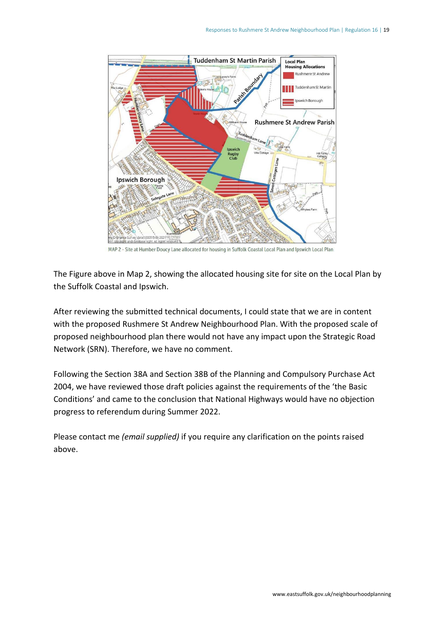

MAP 2 - Site at Humber Doucy Lane allocated for housing in Suffolk Coastal Local Plan and Ipswich Local Plan

The Figure above in Map 2, showing the allocated housing site for site on the Local Plan by the Suffolk Coastal and Ipswich.

After reviewing the submitted technical documents, I could state that we are in content with the proposed Rushmere St Andrew Neighbourhood Plan. With the proposed scale of proposed neighbourhood plan there would not have any impact upon the Strategic Road Network (SRN). Therefore, we have no comment.

Following the Section 38A and Section 38B of the Planning and Compulsory Purchase Act 2004, we have reviewed those draft policies against the requirements of the 'the Basic Conditions' and came to the conclusion that National Highways would have no objection progress to referendum during Summer 2022.

<span id="page-21-0"></span>Please contact me *(email supplied)* if you require any clarification on the points raised above.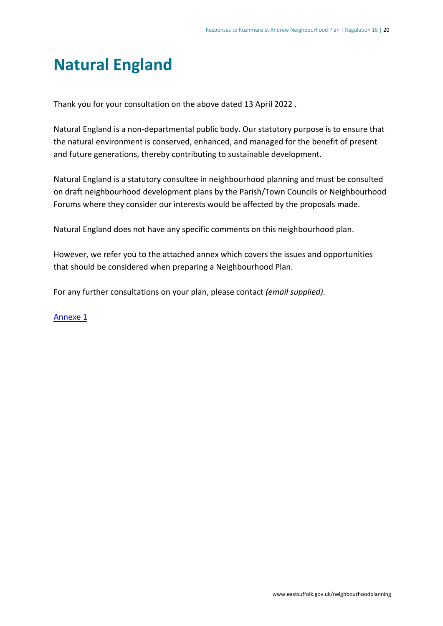### **Natural England**

Thank you for your consultation on the above dated 13 April 2022 .

Natural England is a non-departmental public body. Our statutory purpose is to ensure that the natural environment is conserved, enhanced, and managed for the benefit of present and future generations, thereby contributing to sustainable development.

Natural England is a statutory consultee in neighbourhood planning and must be consulted on draft neighbourhood development plans by the Parish/Town Councils or Neighbourhood Forums where they consider our interests would be affected by the proposals made.

Natural England does not have any specific comments on this neighbourhood plan.

However, we refer you to the attached annex which covers the issues and opportunities that should be considered when preparing a Neighbourhood Plan.

For any further consultations on your plan, please contact *(email supplied)*.

[Annexe 1](https://eastsuffolk.inconsult.uk/gf2.ti/af/1391202/526298/PDF/-/Natural%20England%20-%20Annex%201.pdf)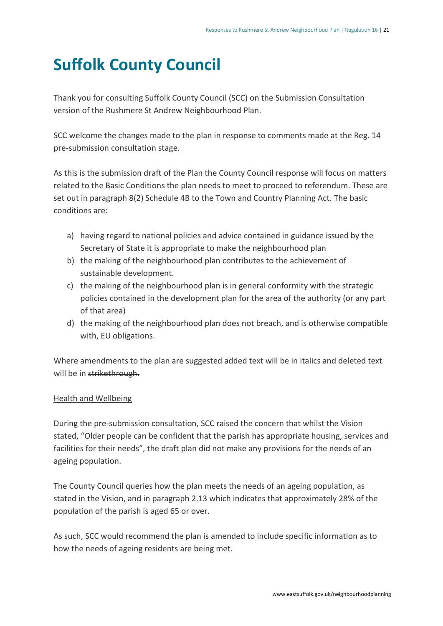### <span id="page-23-0"></span>**Suffolk County Council**

Thank you for consulting Suffolk County Council (SCC) on the Submission Consultation version of the Rushmere St Andrew Neighbourhood Plan.

SCC welcome the changes made to the plan in response to comments made at the Reg. 14 pre-submission consultation stage.

As this is the submission draft of the Plan the County Council response will focus on matters related to the Basic Conditions the plan needs to meet to proceed to referendum. These are set out in paragraph 8(2) Schedule 4B to the Town and Country Planning Act. The basic conditions are:

- a) having regard to national policies and advice contained in guidance issued by the Secretary of State it is appropriate to make the neighbourhood plan
- b) the making of the neighbourhood plan contributes to the achievement of sustainable development.
- c) the making of the neighbourhood plan is in general conformity with the strategic policies contained in the development plan for the area of the authority (or any part of that area)
- d) the making of the neighbourhood plan does not breach, and is otherwise compatible with, EU obligations.

Where amendments to the plan are suggested added text will be in italics and deleted text will be in strikethrough.

#### Health and Wellbeing

During the pre-submission consultation, SCC raised the concern that whilst the Vision stated, "Older people can be confident that the parish has appropriate housing, services and facilities for their needs", the draft plan did not make any provisions for the needs of an ageing population.

The County Council queries how the plan meets the needs of an ageing population, as stated in the Vision, and in paragraph 2.13 which indicates that approximately 28% of the population of the parish is aged 65 or over.

As such, SCC would recommend the plan is amended to include specific information as to how the needs of ageing residents are being met.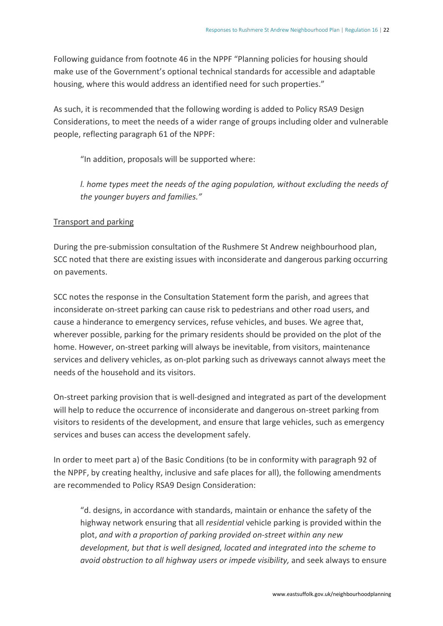Following guidance from footnote 46 in the NPPF "Planning policies for housing should make use of the Government's optional technical standards for accessible and adaptable housing, where this would address an identified need for such properties."

As such, it is recommended that the following wording is added to Policy RSA9 Design Considerations, to meet the needs of a wider range of groups including older and vulnerable people, reflecting paragraph 61 of the NPPF:

"In addition, proposals will be supported where:

*l. home types meet the needs of the aging population, without excluding the needs of the younger buyers and families."*

#### Transport and parking

During the pre-submission consultation of the Rushmere St Andrew neighbourhood plan, SCC noted that there are existing issues with inconsiderate and dangerous parking occurring on pavements.

SCC notes the response in the Consultation Statement form the parish, and agrees that inconsiderate on-street parking can cause risk to pedestrians and other road users, and cause a hinderance to emergency services, refuse vehicles, and buses. We agree that, wherever possible, parking for the primary residents should be provided on the plot of the home. However, on-street parking will always be inevitable, from visitors, maintenance services and delivery vehicles, as on-plot parking such as driveways cannot always meet the needs of the household and its visitors.

On-street parking provision that is well-designed and integrated as part of the development will help to reduce the occurrence of inconsiderate and dangerous on-street parking from visitors to residents of the development, and ensure that large vehicles, such as emergency services and buses can access the development safely.

In order to meet part a) of the Basic Conditions (to be in conformity with paragraph 92 of the NPPF, by creating healthy, inclusive and safe places for all), the following amendments are recommended to Policy RSA9 Design Consideration:

"d. designs, in accordance with standards, maintain or enhance the safety of the highway network ensuring that all *residential* vehicle parking is provided within the plot, *and with a proportion of parking provided on-street within any new development, but that is well designed, located and integrated into the scheme to avoid obstruction to all highway users or impede visibility,* and seek always to ensure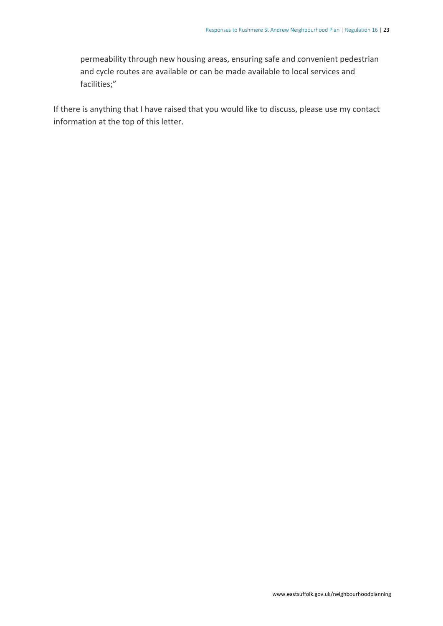permeability through new housing areas, ensuring safe and convenient pedestrian and cycle routes are available or can be made available to local services and facilities;"

<span id="page-25-0"></span>If there is anything that I have raised that you would like to discuss, please use my contact information at the top of this letter.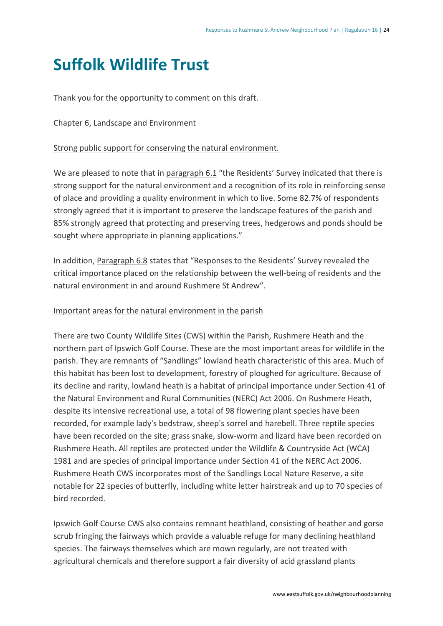### **Suffolk Wildlife Trust**

Thank you for the opportunity to comment on this draft.

#### Chapter 6, Landscape and Environment

#### Strong public support for conserving the natural environment.

We are pleased to note that in paragraph 6.1 "the Residents' Survey indicated that there is strong support for the natural environment and a recognition of its role in reinforcing sense of place and providing a quality environment in which to live. Some 82.7% of respondents strongly agreed that it is important to preserve the landscape features of the parish and 85% strongly agreed that protecting and preserving trees, hedgerows and ponds should be sought where appropriate in planning applications."

In addition, Paragraph 6.8 states that "Responses to the Residents' Survey revealed the critical importance placed on the relationship between the well-being of residents and the natural environment in and around Rushmere St Andrew".

#### Important areas for the natural environment in the parish

There are two County Wildlife Sites (CWS) within the Parish, Rushmere Heath and the northern part of Ipswich Golf Course. These are the most important areas for wildlife in the parish. They are remnants of "Sandlings" lowland heath characteristic of this area. Much of this habitat has been lost to development, forestry of ploughed for agriculture. Because of its decline and rarity, lowland heath is a habitat of principal importance under Section 41 of the Natural Environment and Rural Communities (NERC) Act 2006. On Rushmere Heath, despite its intensive recreational use, a total of 98 flowering plant species have been recorded, for example lady's bedstraw, sheep's sorrel and harebell. Three reptile species have been recorded on the site; grass snake, slow-worm and lizard have been recorded on Rushmere Heath. All reptiles are protected under the Wildlife & Countryside Act (WCA) 1981 and are species of principal importance under Section 41 of the NERC Act 2006. Rushmere Heath CWS incorporates most of the Sandlings Local Nature Reserve, a site notable for 22 species of butterfly, including white letter hairstreak and up to 70 species of bird recorded.

Ipswich Golf Course CWS also contains remnant heathland, consisting of heather and gorse scrub fringing the fairways which provide a valuable refuge for many declining heathland species. The fairways themselves which are mown regularly, are not treated with agricultural chemicals and therefore support a fair diversity of acid grassland plants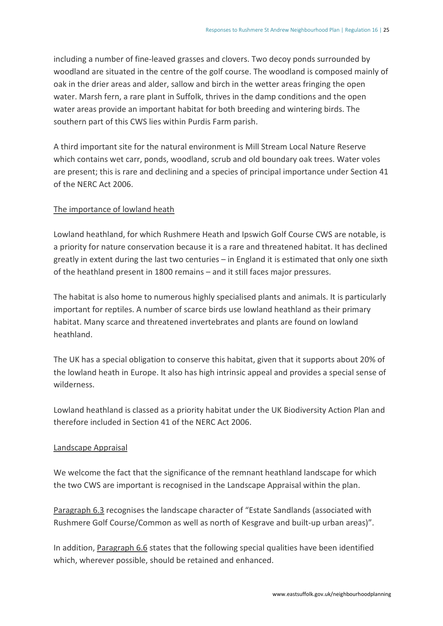including a number of fine-leaved grasses and clovers. Two decoy ponds surrounded by woodland are situated in the centre of the golf course. The woodland is composed mainly of oak in the drier areas and alder, sallow and birch in the wetter areas fringing the open water. Marsh fern, a rare plant in Suffolk, thrives in the damp conditions and the open water areas provide an important habitat for both breeding and wintering birds. The southern part of this CWS lies within Purdis Farm parish.

A third important site for the natural environment is Mill Stream Local Nature Reserve which contains wet carr, ponds, woodland, scrub and old boundary oak trees. Water voles are present; this is rare and declining and a species of principal importance under Section 41 of the NERC Act 2006.

#### The importance of lowland heath

Lowland heathland, for which Rushmere Heath and Ipswich Golf Course CWS are notable, is a priority for nature conservation because it is a rare and threatened habitat. It has declined greatly in extent during the last two centuries – in England it is estimated that only one sixth of the heathland present in 1800 remains – and it still faces major pressures.

The habitat is also home to numerous highly specialised plants and animals. It is particularly important for reptiles. A number of scarce birds use lowland heathland as their primary habitat. Many scarce and threatened invertebrates and plants are found on lowland heathland.

The UK has a special obligation to conserve this habitat, given that it supports about 20% of the lowland heath in Europe. It also has high intrinsic appeal and provides a special sense of wilderness.

Lowland heathland is classed as a priority habitat under the UK Biodiversity Action Plan and therefore included in Section 41 of the NERC Act 2006.

#### Landscape Appraisal

We welcome the fact that the significance of the remnant heathland landscape for which the two CWS are important is recognised in the Landscape Appraisal within the plan.

Paragraph 6.3 recognises the landscape character of "Estate Sandlands (associated with Rushmere Golf Course/Common as well as north of Kesgrave and built-up urban areas)".

In addition, Paragraph 6.6 states that the following special qualities have been identified which, wherever possible, should be retained and enhanced.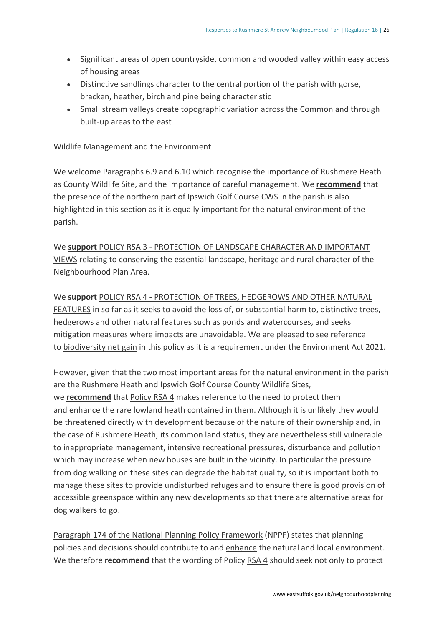- Significant areas of open countryside, common and wooded valley within easy access of housing areas
- Distinctive sandlings character to the central portion of the parish with gorse, bracken, heather, birch and pine being characteristic
- Small stream valleys create topographic variation across the Common and through built-up areas to the east

#### Wildlife Management and the Environment

We welcome Paragraphs 6.9 and 6.10 which recognise the importance of Rushmere Heath as County Wildlife Site, and the importance of careful management. We **recommend** that the presence of the northern part of Ipswich Golf Course CWS in the parish is also highlighted in this section as it is equally important for the natural environment of the parish.

We **support** POLICY RSA 3 - PROTECTION OF LANDSCAPE CHARACTER AND IMPORTANT VIEWS relating to conserving the essential landscape, heritage and rural character of the Neighbourhood Plan Area.

#### We **support** POLICY RSA 4 - PROTECTION OF TREES, HEDGEROWS AND OTHER NATURAL

FEATURES in so far as it seeks to avoid the loss of, or substantial harm to, distinctive trees, hedgerows and other natural features such as ponds and watercourses, and seeks mitigation measures where impacts are unavoidable. We are pleased to see reference to biodiversity net gain in this policy as it is a requirement under the Environment Act 2021.

However, given that the two most important areas for the natural environment in the parish are the Rushmere Heath and Ipswich Golf Course County Wildlife Sites, we **recommend** that Policy RSA 4 makes reference to the need to protect them and enhance the rare lowland heath contained in them. Although it is unlikely they would be threatened directly with development because of the nature of their ownership and, in the case of Rushmere Heath, its common land status, they are nevertheless still vulnerable to inappropriate management, intensive recreational pressures, disturbance and pollution which may increase when new houses are built in the vicinity. In particular the pressure from dog walking on these sites can degrade the habitat quality, so it is important both to manage these sites to provide undisturbed refuges and to ensure there is good provision of accessible greenspace within any new developments so that there are alternative areas for dog walkers to go.

Paragraph 174 of the National Planning Policy Framework (NPPF) states that planning policies and decisions should contribute to and enhance the natural and local environment. We therefore **recommend** that the wording of Policy RSA 4 should seek not only to protect